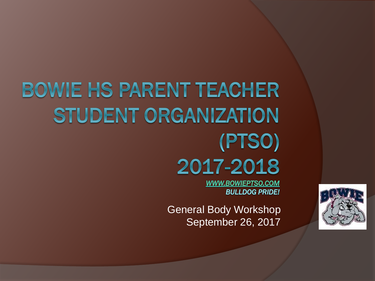# **BOWIE HS PARENT TEACHER** STUDENT ORGANIZATION (PTSO) 2017-2018

**WWW.BOWIEPTSO.COM BULLDOG PRIDE!** 

General Body Workshop September 26, 2017

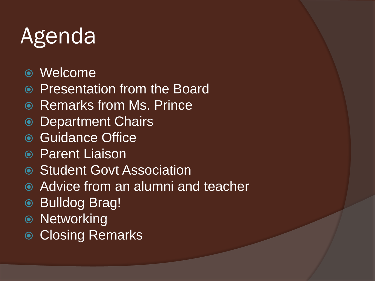# Agenda

- Welcome
- Presentation from the Board
- **Remarks from Ms. Prince**
- **◎ Department Chairs**
- Guidance Office
- **Parent Liaison**
- **Student Govt Association**
- Advice from an alumni and teacher
- Bulldog Brag!
- Networking
- **Closing Remarks**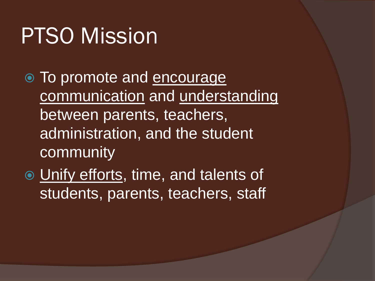## PTSO Mission

- To promote and encourage communication and understanding between parents, teachers, administration, and the student community
- Unify efforts, time, and talents of students, parents, teachers, staff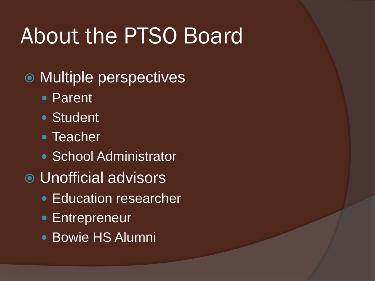## About the PTSO Board

- Multiple perspectives
	- Parent
	- Student
	- Teacher
	- School Administrator
- Unofficial advisors
	- Education researcher
	- Entrepreneur
	- Bowie HS Alumni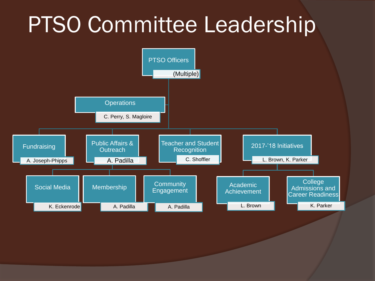## PTSO Committee Leadership

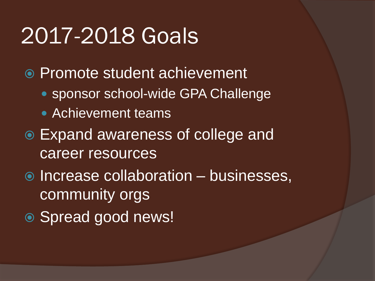## 2017-2018 Goals

- Promote student achievement
	- sponsor school-wide GPA Challenge
	- Achievement teams
- Expand awareness of college and career resources
- $\bullet$  Increase collaboration businesses, community orgs
- Spread good news!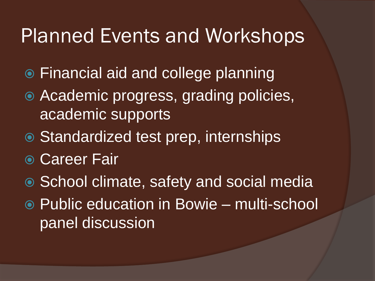#### Planned Events and Workshops

- Financial aid and college planning
- Academic progress, grading policies, academic supports
- Standardized test prep, internships
- **Career Fair**
- School climate, safety and social media
- Public education in Bowie multi-school panel discussion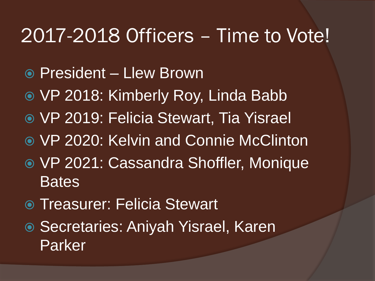#### 2017-2018 Officers – Time to Vote!

- President Llew Brown
- VP 2018: Kimberly Roy, Linda Babb
- VP 2019: Felicia Stewart, Tia Yisrael
- VP 2020: Kelvin and Connie McClinton
- VP 2021: Cassandra Shoffler, Monique **Bates**
- Treasurer: Felicia Stewart
- Secretaries: Aniyah Yisrael, Karen Parker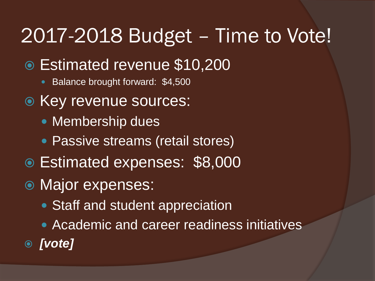### 2017-2018 Budget – Time to Vote!

- Estimated revenue \$10,200
	- Balance brought forward: \$4,500
- Key revenue sources:
	- Membership dues
	- Passive streams (retail stores)
- Estimated expenses: \$8,000
- Major expenses:
	- Staff and student appreciation
	- **Academic and career readiness initiatives**
- *[vote]*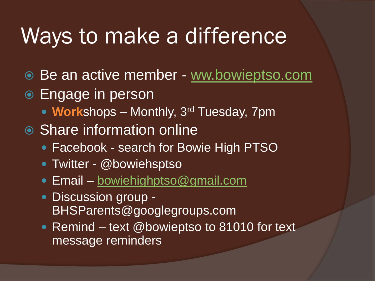### Ways to make a difference

- Be an active member [ww.bowieptso.com](http://www.bowieptso.com/)
- **Engage in person** 
	- **Work**shops Monthly, 3rd Tuesday, 7pm
- **◎ Share information online** 
	- Facebook search for Bowie High PTSO
	- Twitter @bowiehsptso
	- Email [bowiehighptso@gmail.com](mailto:bowiehighptso@gmail.com)
	- Discussion group -BHSParents@googlegroups.com
	- Remind text @bowieptso to 81010 for text message reminders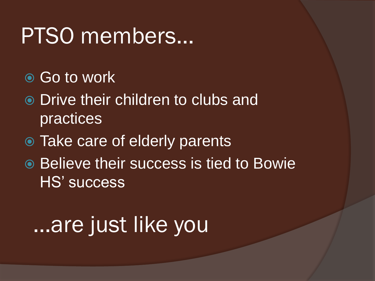## PTSO members…

- Go to work
- Drive their children to clubs and practices
- Take care of elderly parents
- **Example 10 Believe their success is tied to Bowie** HS' success

## …are just like you